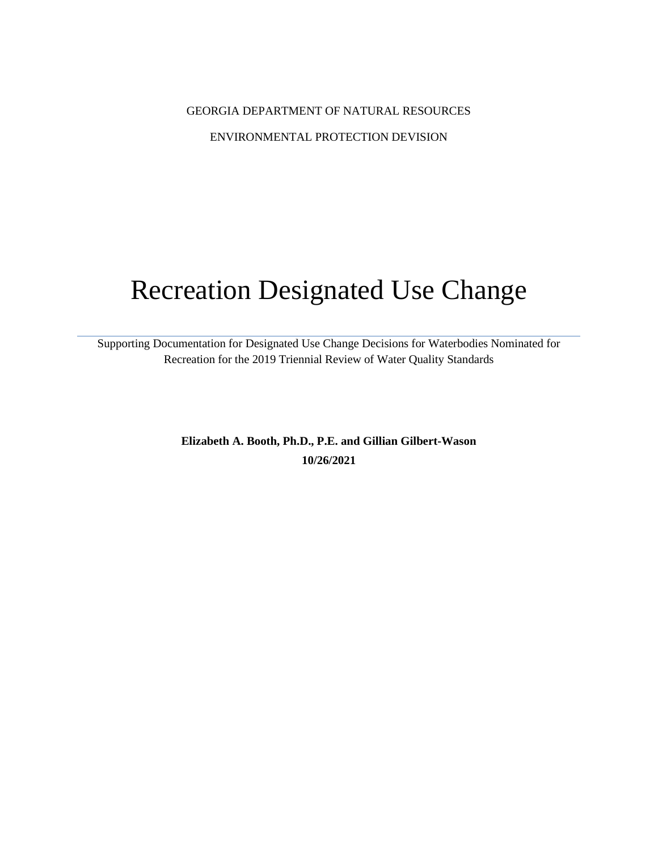## GEORGIA DEPARTMENT OF NATURAL RESOURCES ENVIRONMENTAL PROTECTION DEVISION

# Recreation Designated Use Change

Supporting Documentation for Designated Use Change Decisions for Waterbodies Nominated for Recreation for the 2019 Triennial Review of Water Quality Standards

> **Elizabeth A. Booth, Ph.D., P.E. and Gillian Gilbert-Wason 10/26/2021**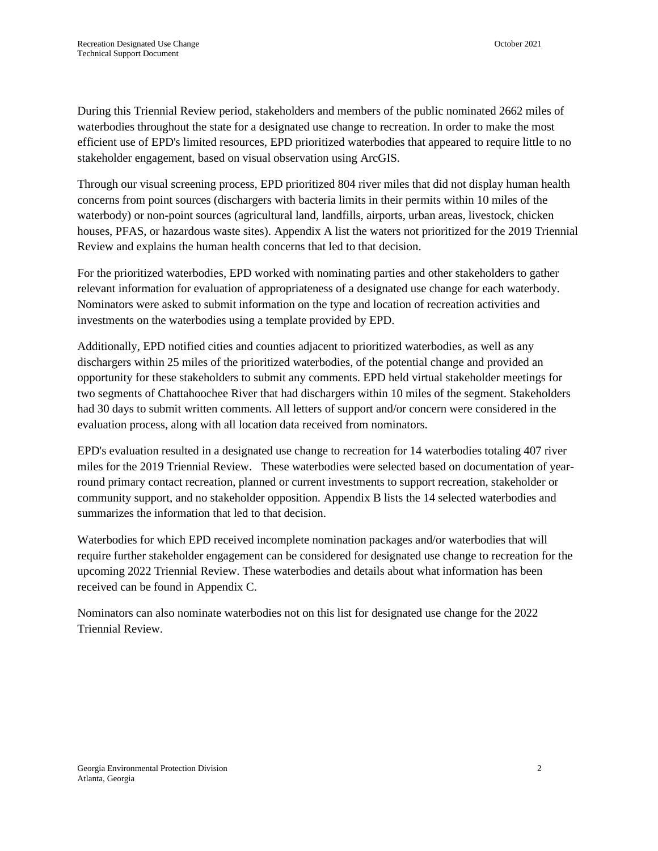During this Triennial Review period, stakeholders and members of the public nominated 2662 miles of waterbodies throughout the state for a designated use change to recreation. In order to make the most efficient use of EPD's limited resources, EPD prioritized waterbodies that appeared to require little to no stakeholder engagement, based on visual observation using ArcGIS.

Through our visual screening process, EPD prioritized 804 river miles that did not display human health concerns from point sources (dischargers with bacteria limits in their permits within 10 miles of the waterbody) or non-point sources (agricultural land, landfills, airports, urban areas, livestock, chicken houses, PFAS, or hazardous waste sites). Appendix A list the waters not prioritized for the 2019 Triennial Review and explains the human health concerns that led to that decision.

For the prioritized waterbodies, EPD worked with nominating parties and other stakeholders to gather relevant information for evaluation of appropriateness of a designated use change for each waterbody. Nominators were asked to submit information on the type and location of recreation activities and investments on the waterbodies using a template provided by EPD.

Additionally, EPD notified cities and counties adjacent to prioritized waterbodies, as well as any dischargers within 25 miles of the prioritized waterbodies, of the potential change and provided an opportunity for these stakeholders to submit any comments. EPD held virtual stakeholder meetings for two segments of Chattahoochee River that had dischargers within 10 miles of the segment. Stakeholders had 30 days to submit written comments. All letters of support and/or concern were considered in the evaluation process, along with all location data received from nominators.

EPD's evaluation resulted in a designated use change to recreation for 14 waterbodies totaling 407 river miles for the 2019 Triennial Review. These waterbodies were selected based on documentation of yearround primary contact recreation, planned or current investments to support recreation, stakeholder or community support, and no stakeholder opposition. Appendix B lists the 14 selected waterbodies and summarizes the information that led to that decision.

Waterbodies for which EPD received incomplete nomination packages and/or waterbodies that will require further stakeholder engagement can be considered for designated use change to recreation for the upcoming 2022 Triennial Review. These waterbodies and details about what information has been received can be found in Appendix C.

Nominators can also nominate waterbodies not on this list for designated use change for the 2022 Triennial Review.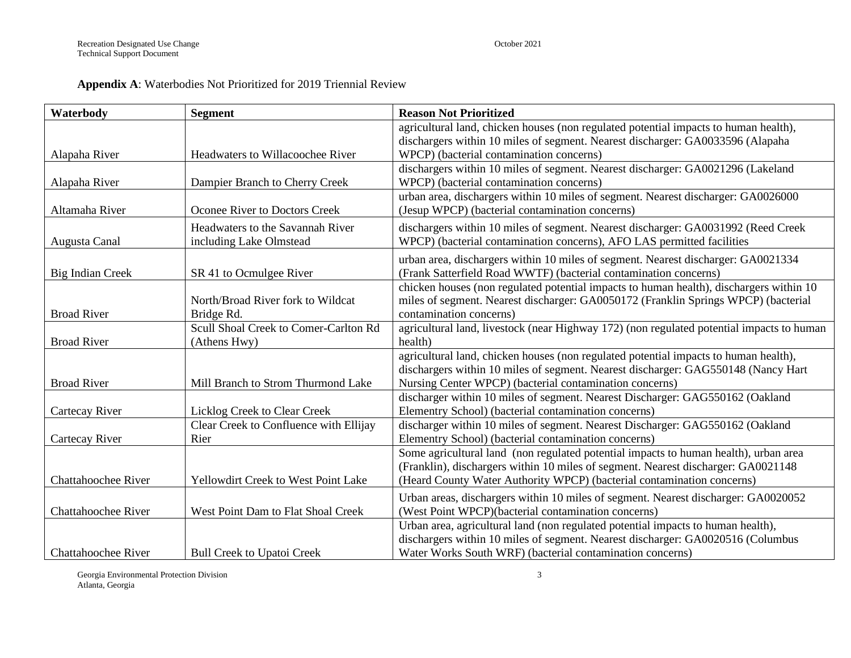#### **Appendix A**: Waterbodies Not Prioritized for 2019 Triennial Review

| Waterbody                  | <b>Segment</b>                         | <b>Reason Not Prioritized</b>                                                             |
|----------------------------|----------------------------------------|-------------------------------------------------------------------------------------------|
|                            |                                        | agricultural land, chicken houses (non regulated potential impacts to human health),      |
|                            |                                        | dischargers within 10 miles of segment. Nearest discharger: GA0033596 (Alapaha            |
| Alapaha River              | Headwaters to Willacoochee River       | WPCP) (bacterial contamination concerns)                                                  |
|                            |                                        | dischargers within 10 miles of segment. Nearest discharger: GA0021296 (Lakeland           |
| Alapaha River              | Dampier Branch to Cherry Creek         | WPCP) (bacterial contamination concerns)                                                  |
|                            |                                        | urban area, dischargers within 10 miles of segment. Nearest discharger: GA0026000         |
| Altamaha River             | Oconee River to Doctors Creek          | (Jesup WPCP) (bacterial contamination concerns)                                           |
|                            | Headwaters to the Savannah River       | dischargers within 10 miles of segment. Nearest discharger: GA0031992 (Reed Creek         |
| Augusta Canal              | including Lake Olmstead                | WPCP) (bacterial contamination concerns), AFO LAS permitted facilities                    |
|                            |                                        | urban area, dischargers within 10 miles of segment. Nearest discharger: GA0021334         |
| Big Indian Creek           | SR 41 to Ocmulgee River                | (Frank Satterfield Road WWTF) (bacterial contamination concerns)                          |
|                            |                                        | chicken houses (non regulated potential impacts to human health), dischargers within 10   |
|                            | North/Broad River fork to Wildcat      | miles of segment. Nearest discharger: GA0050172 (Franklin Springs WPCP) (bacterial        |
| <b>Broad River</b>         | Bridge Rd.                             | contamination concerns)                                                                   |
|                            | Scull Shoal Creek to Comer-Carlton Rd  | agricultural land, livestock (near Highway 172) (non regulated potential impacts to human |
| <b>Broad River</b>         | (Athens Hwy)                           | health)                                                                                   |
|                            |                                        | agricultural land, chicken houses (non regulated potential impacts to human health),      |
|                            |                                        | dischargers within 10 miles of segment. Nearest discharger: GAG550148 (Nancy Hart         |
| <b>Broad River</b>         | Mill Branch to Strom Thurmond Lake     | Nursing Center WPCP) (bacterial contamination concerns)                                   |
|                            |                                        | discharger within 10 miles of segment. Nearest Discharger: GAG550162 (Oakland             |
| Cartecay River             | Licklog Creek to Clear Creek           | Elementry School) (bacterial contamination concerns)                                      |
|                            | Clear Creek to Confluence with Ellijay | discharger within 10 miles of segment. Nearest Discharger: GAG550162 (Oakland             |
| Cartecay River             | Rier                                   | Elementry School) (bacterial contamination concerns)                                      |
|                            |                                        | Some agricultural land (non regulated potential impacts to human health), urban area      |
|                            |                                        | (Franklin), dischargers within 10 miles of segment. Nearest discharger: GA0021148         |
| <b>Chattahoochee River</b> | Yellowdirt Creek to West Point Lake    | (Heard County Water Authority WPCP) (bacterial contamination concerns)                    |
|                            |                                        | Urban areas, dischargers within 10 miles of segment. Nearest discharger: GA0020052        |
| Chattahoochee River        | West Point Dam to Flat Shoal Creek     | (West Point WPCP)(bacterial contamination concerns)                                       |
|                            |                                        | Urban area, agricultural land (non regulated potential impacts to human health),          |
|                            |                                        | dischargers within 10 miles of segment. Nearest discharger: GA0020516 (Columbus           |
| <b>Chattahoochee River</b> | <b>Bull Creek to Upatoi Creek</b>      | Water Works South WRF) (bacterial contamination concerns)                                 |

Georgia Environmental Protection Division 3 Atlanta, Georgia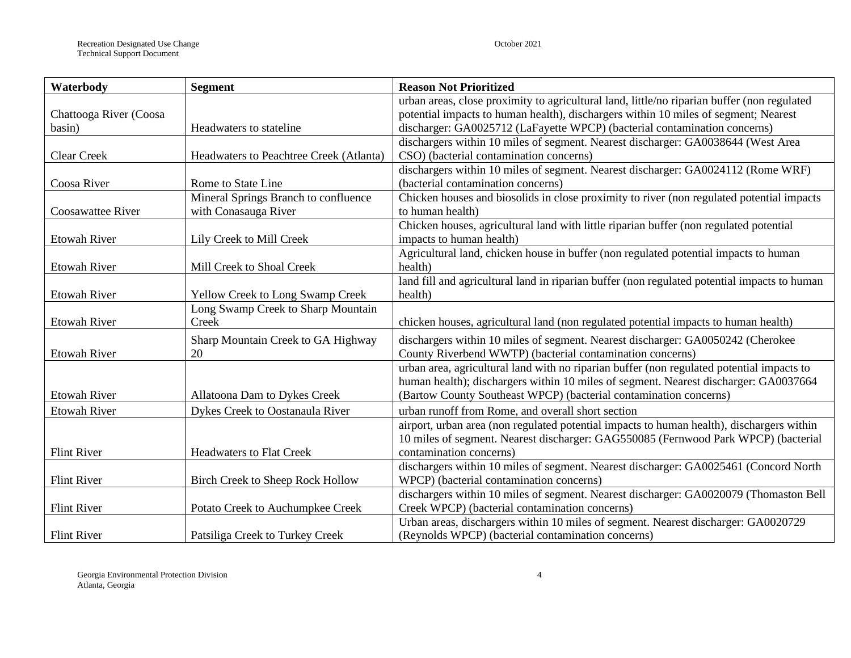| Waterbody              | <b>Segment</b>                          | <b>Reason Not Prioritized</b>                                                                |
|------------------------|-----------------------------------------|----------------------------------------------------------------------------------------------|
|                        |                                         | urban areas, close proximity to agricultural land, little/no riparian buffer (non regulated  |
| Chattooga River (Coosa |                                         | potential impacts to human health), dischargers within 10 miles of segment; Nearest          |
| basin)                 | Headwaters to stateline                 | discharger: GA0025712 (LaFayette WPCP) (bacterial contamination concerns)                    |
|                        |                                         | dischargers within 10 miles of segment. Nearest discharger: GA0038644 (West Area             |
| <b>Clear Creek</b>     | Headwaters to Peachtree Creek (Atlanta) | CSO) (bacterial contamination concerns)                                                      |
|                        |                                         | dischargers within 10 miles of segment. Nearest discharger: GA0024112 (Rome WRF)             |
| Coosa River            | Rome to State Line                      | (bacterial contamination concerns)                                                           |
|                        | Mineral Springs Branch to confluence    | Chicken houses and biosolids in close proximity to river (non regulated potential impacts    |
| Coosawattee River      | with Conasauga River                    | to human health)                                                                             |
|                        |                                         | Chicken houses, agricultural land with little riparian buffer (non regulated potential       |
| <b>Etowah River</b>    | Lily Creek to Mill Creek                | impacts to human health)                                                                     |
|                        |                                         | Agricultural land, chicken house in buffer (non regulated potential impacts to human         |
| <b>Etowah River</b>    | Mill Creek to Shoal Creek               | health)                                                                                      |
|                        |                                         | land fill and agricultural land in riparian buffer (non regulated potential impacts to human |
| <b>Etowah River</b>    | Yellow Creek to Long Swamp Creek        | health)                                                                                      |
|                        | Long Swamp Creek to Sharp Mountain      |                                                                                              |
| <b>Etowah River</b>    | Creek                                   | chicken houses, agricultural land (non regulated potential impacts to human health)          |
|                        | Sharp Mountain Creek to GA Highway      | dischargers within 10 miles of segment. Nearest discharger: GA0050242 (Cherokee              |
| <b>Etowah River</b>    | 20                                      | County Riverbend WWTP) (bacterial contamination concerns)                                    |
|                        |                                         | urban area, agricultural land with no riparian buffer (non regulated potential impacts to    |
|                        |                                         | human health); dischargers within 10 miles of segment. Nearest discharger: GA0037664         |
| <b>Etowah River</b>    | Allatoona Dam to Dykes Creek            | (Bartow County Southeast WPCP) (bacterial contamination concerns)                            |
| <b>Etowah River</b>    | Dykes Creek to Oostanaula River         | urban runoff from Rome, and overall short section                                            |
|                        |                                         | airport, urban area (non regulated potential impacts to human health), dischargers within    |
|                        |                                         | 10 miles of segment. Nearest discharger: GAG550085 (Fernwood Park WPCP) (bacterial           |
| <b>Flint River</b>     | <b>Headwaters to Flat Creek</b>         | contamination concerns)                                                                      |
|                        |                                         | dischargers within 10 miles of segment. Nearest discharger: GA0025461 (Concord North         |
| <b>Flint River</b>     | <b>Birch Creek to Sheep Rock Hollow</b> | WPCP) (bacterial contamination concerns)                                                     |
|                        |                                         | dischargers within 10 miles of segment. Nearest discharger: GA0020079 (Thomaston Bell        |
| <b>Flint River</b>     | Potato Creek to Auchumpkee Creek        | Creek WPCP) (bacterial contamination concerns)                                               |
|                        |                                         | Urban areas, dischargers within 10 miles of segment. Nearest discharger: GA0020729           |
| <b>Flint River</b>     | Patsiliga Creek to Turkey Creek         | (Reynolds WPCP) (bacterial contamination concerns)                                           |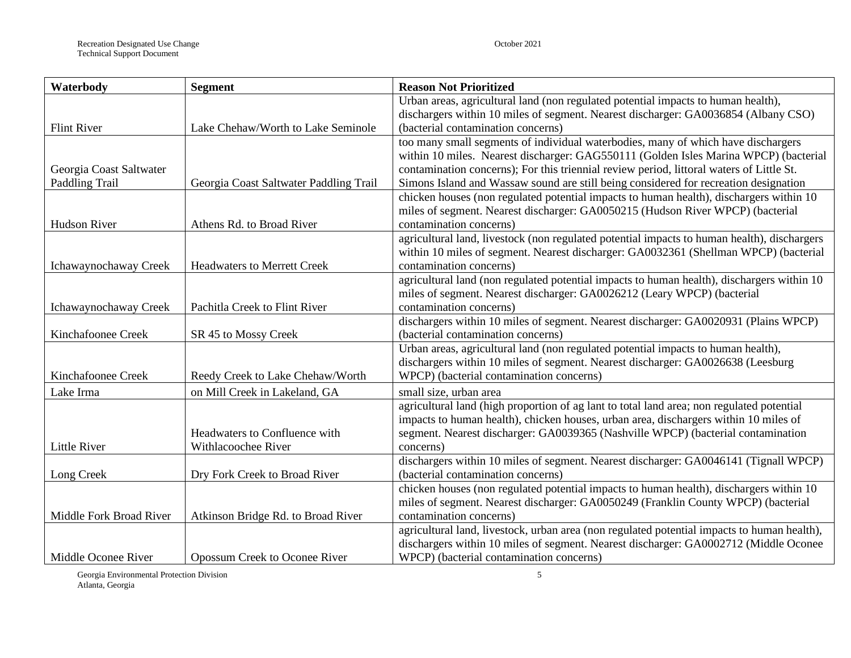| Waterbody               | <b>Segment</b>                         | <b>Reason Not Prioritized</b>                                                               |
|-------------------------|----------------------------------------|---------------------------------------------------------------------------------------------|
|                         |                                        | Urban areas, agricultural land (non regulated potential impacts to human health),           |
|                         |                                        | dischargers within 10 miles of segment. Nearest discharger: GA0036854 (Albany CSO)          |
| <b>Flint River</b>      | Lake Chehaw/Worth to Lake Seminole     | (bacterial contamination concerns)                                                          |
|                         |                                        | too many small segments of individual waterbodies, many of which have dischargers           |
|                         |                                        | within 10 miles. Nearest discharger: GAG550111 (Golden Isles Marina WPCP) (bacterial        |
| Georgia Coast Saltwater |                                        | contamination concerns); For this triennial review period, littoral waters of Little St.    |
| Paddling Trail          | Georgia Coast Saltwater Paddling Trail | Simons Island and Wassaw sound are still being considered for recreation designation        |
|                         |                                        | chicken houses (non regulated potential impacts to human health), dischargers within 10     |
|                         |                                        | miles of segment. Nearest discharger: GA0050215 (Hudson River WPCP) (bacterial              |
| <b>Hudson River</b>     | Athens Rd. to Broad River              | contamination concerns)                                                                     |
|                         |                                        | agricultural land, livestock (non regulated potential impacts to human health), dischargers |
|                         |                                        | within 10 miles of segment. Nearest discharger: GA0032361 (Shellman WPCP) (bacterial        |
| Ichawaynochaway Creek   | <b>Headwaters to Merrett Creek</b>     | contamination concerns)                                                                     |
|                         |                                        | agricultural land (non regulated potential impacts to human health), dischargers within 10  |
|                         |                                        | miles of segment. Nearest discharger: GA0026212 (Leary WPCP) (bacterial                     |
| Ichawaynochaway Creek   | Pachitla Creek to Flint River          | contamination concerns)                                                                     |
|                         |                                        | dischargers within 10 miles of segment. Nearest discharger: GA0020931 (Plains WPCP)         |
| Kinchafoonee Creek      | SR 45 to Mossy Creek                   | (bacterial contamination concerns)                                                          |
|                         |                                        | Urban areas, agricultural land (non regulated potential impacts to human health),           |
|                         |                                        | dischargers within 10 miles of segment. Nearest discharger: GA0026638 (Leesburg             |
| Kinchafoonee Creek      | Reedy Creek to Lake Chehaw/Worth       | WPCP) (bacterial contamination concerns)                                                    |
| Lake Irma               | on Mill Creek in Lakeland, GA          | small size, urban area                                                                      |
|                         |                                        | agricultural land (high proportion of ag lant to total land area; non regulated potential   |
|                         |                                        | impacts to human health), chicken houses, urban area, dischargers within 10 miles of        |
|                         | Headwaters to Confluence with          | segment. Nearest discharger: GA0039365 (Nashville WPCP) (bacterial contamination            |
| Little River            | Withlacoochee River                    | concerns)                                                                                   |
|                         |                                        | dischargers within 10 miles of segment. Nearest discharger: GA0046141 (Tignall WPCP)        |
| Long Creek              | Dry Fork Creek to Broad River          | (bacterial contamination concerns)                                                          |
|                         |                                        | chicken houses (non regulated potential impacts to human health), dischargers within 10     |
|                         |                                        | miles of segment. Nearest discharger: GA0050249 (Franklin County WPCP) (bacterial           |
| Middle Fork Broad River | Atkinson Bridge Rd. to Broad River     | contamination concerns)                                                                     |
|                         |                                        | agricultural land, livestock, urban area (non regulated potential impacts to human health), |
|                         |                                        | dischargers within 10 miles of segment. Nearest discharger: GA0002712 (Middle Oconee        |
| Middle Oconee River     | <b>Opossum Creek to Oconee River</b>   | WPCP) (bacterial contamination concerns)                                                    |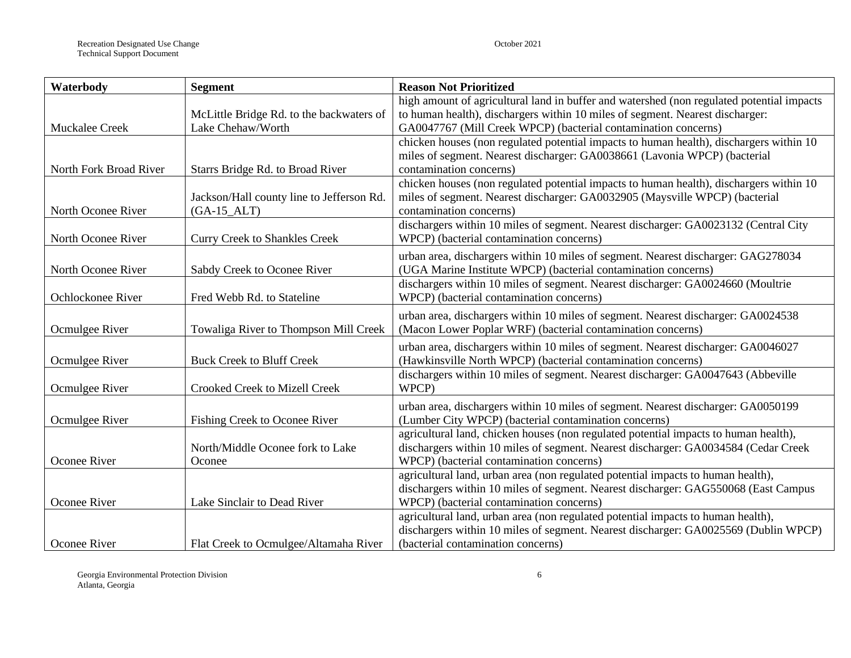| Waterbody              | <b>Segment</b>                            | <b>Reason Not Prioritized</b>                                                                                                  |  |  |  |
|------------------------|-------------------------------------------|--------------------------------------------------------------------------------------------------------------------------------|--|--|--|
|                        |                                           | high amount of agricultural land in buffer and watershed (non regulated potential impacts                                      |  |  |  |
|                        | McLittle Bridge Rd. to the backwaters of  | to human health), dischargers within 10 miles of segment. Nearest discharger:                                                  |  |  |  |
| Muckalee Creek         | Lake Chehaw/Worth                         | GA0047767 (Mill Creek WPCP) (bacterial contamination concerns)                                                                 |  |  |  |
|                        |                                           | chicken houses (non regulated potential impacts to human health), dischargers within 10                                        |  |  |  |
|                        |                                           | miles of segment. Nearest discharger: GA0038661 (Lavonia WPCP) (bacterial                                                      |  |  |  |
| North Fork Broad River | Starrs Bridge Rd. to Broad River          | contamination concerns)                                                                                                        |  |  |  |
|                        |                                           | chicken houses (non regulated potential impacts to human health), dischargers within 10                                        |  |  |  |
|                        | Jackson/Hall county line to Jefferson Rd. | miles of segment. Nearest discharger: GA0032905 (Maysville WPCP) (bacterial                                                    |  |  |  |
| North Oconee River     | $(GA-15\_ALT)$                            | contamination concerns)                                                                                                        |  |  |  |
|                        |                                           | dischargers within 10 miles of segment. Nearest discharger: GA0023132 (Central City                                            |  |  |  |
| North Oconee River     | <b>Curry Creek to Shankles Creek</b>      | WPCP) (bacterial contamination concerns)                                                                                       |  |  |  |
|                        |                                           | urban area, dischargers within 10 miles of segment. Nearest discharger: GAG278034                                              |  |  |  |
| North Oconee River     | Sabdy Creek to Oconee River               | (UGA Marine Institute WPCP) (bacterial contamination concerns)                                                                 |  |  |  |
|                        |                                           | dischargers within 10 miles of segment. Nearest discharger: GA0024660 (Moultrie                                                |  |  |  |
| Ochlockonee River      | Fred Webb Rd. to Stateline                | WPCP) (bacterial contamination concerns)                                                                                       |  |  |  |
|                        |                                           | urban area, dischargers within 10 miles of segment. Nearest discharger: GA0024538                                              |  |  |  |
| Ocmulgee River         | Towaliga River to Thompson Mill Creek     | (Macon Lower Poplar WRF) (bacterial contamination concerns)                                                                    |  |  |  |
|                        |                                           | urban area, dischargers within 10 miles of segment. Nearest discharger: GA0046027                                              |  |  |  |
| Ocmulgee River         | <b>Buck Creek to Bluff Creek</b>          | (Hawkinsville North WPCP) (bacterial contamination concerns)                                                                   |  |  |  |
|                        |                                           | dischargers within 10 miles of segment. Nearest discharger: GA0047643 (Abbeville                                               |  |  |  |
| Ocmulgee River         | <b>Crooked Creek to Mizell Creek</b>      | WPCP)                                                                                                                          |  |  |  |
|                        |                                           |                                                                                                                                |  |  |  |
|                        |                                           | urban area, dischargers within 10 miles of segment. Nearest discharger: GA0050199                                              |  |  |  |
| Ocmulgee River         | Fishing Creek to Oconee River             | (Lumber City WPCP) (bacterial contamination concerns)                                                                          |  |  |  |
|                        |                                           | agricultural land, chicken houses (non regulated potential impacts to human health),                                           |  |  |  |
|                        | North/Middle Oconee fork to Lake          | dischargers within 10 miles of segment. Nearest discharger: GA0034584 (Cedar Creek                                             |  |  |  |
| Oconee River           | Oconee                                    | WPCP) (bacterial contamination concerns)                                                                                       |  |  |  |
|                        |                                           | agricultural land, urban area (non regulated potential impacts to human health),                                               |  |  |  |
| Oconee River           | Lake Sinclair to Dead River               | dischargers within 10 miles of segment. Nearest discharger: GAG550068 (East Campus<br>WPCP) (bacterial contamination concerns) |  |  |  |
|                        |                                           |                                                                                                                                |  |  |  |
|                        |                                           | agricultural land, urban area (non regulated potential impacts to human health),                                               |  |  |  |
|                        |                                           | dischargers within 10 miles of segment. Nearest discharger: GA0025569 (Dublin WPCP)                                            |  |  |  |
| Oconee River           | Flat Creek to Ocmulgee/Altamaha River     | (bacterial contamination concerns)                                                                                             |  |  |  |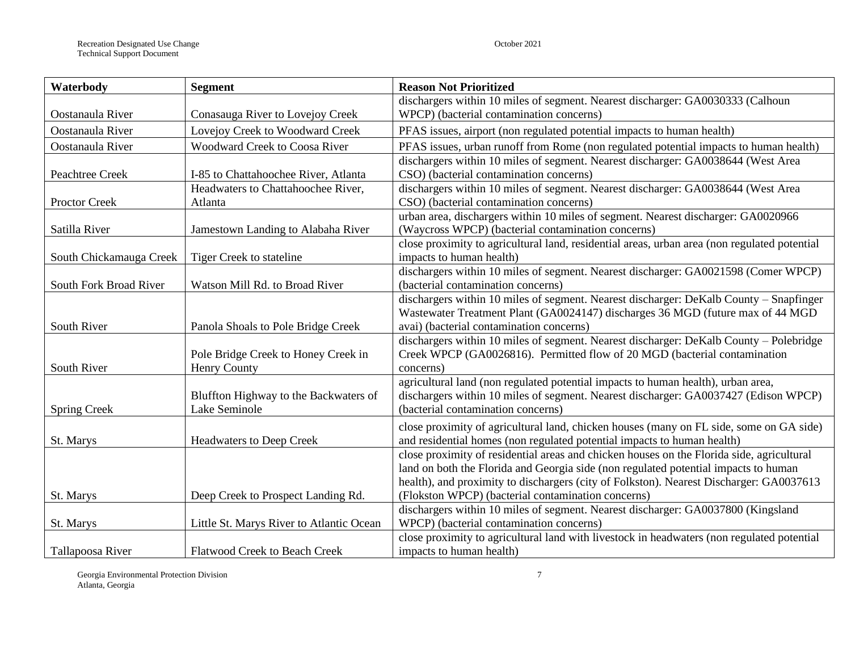| Waterbody               | <b>Segment</b>                           | <b>Reason Not Prioritized</b>                                                                |  |  |  |  |
|-------------------------|------------------------------------------|----------------------------------------------------------------------------------------------|--|--|--|--|
|                         |                                          | dischargers within 10 miles of segment. Nearest discharger: GA0030333 (Calhoun               |  |  |  |  |
| Oostanaula River        | Conasauga River to Lovejoy Creek         | WPCP) (bacterial contamination concerns)                                                     |  |  |  |  |
| Oostanaula River        | Lovejoy Creek to Woodward Creek          | PFAS issues, airport (non regulated potential impacts to human health)                       |  |  |  |  |
| Oostanaula River        | Woodward Creek to Coosa River            | PFAS issues, urban runoff from Rome (non regulated potential impacts to human health)        |  |  |  |  |
|                         |                                          | dischargers within 10 miles of segment. Nearest discharger: GA0038644 (West Area             |  |  |  |  |
| Peachtree Creek         | I-85 to Chattahoochee River, Atlanta     | CSO) (bacterial contamination concerns)                                                      |  |  |  |  |
|                         | Headwaters to Chattahoochee River,       | dischargers within 10 miles of segment. Nearest discharger: GA0038644 (West Area             |  |  |  |  |
| Proctor Creek           | Atlanta                                  | CSO) (bacterial contamination concerns)                                                      |  |  |  |  |
|                         |                                          | urban area, dischargers within 10 miles of segment. Nearest discharger: GA0020966            |  |  |  |  |
| Satilla River           | Jamestown Landing to Alabaha River       | (Waycross WPCP) (bacterial contamination concerns)                                           |  |  |  |  |
|                         |                                          | close proximity to agricultural land, residential areas, urban area (non regulated potential |  |  |  |  |
| South Chickamauga Creek | Tiger Creek to stateline                 | impacts to human health)                                                                     |  |  |  |  |
|                         |                                          | dischargers within 10 miles of segment. Nearest discharger: GA0021598 (Comer WPCP)           |  |  |  |  |
| South Fork Broad River  | Watson Mill Rd. to Broad River           | (bacterial contamination concerns)                                                           |  |  |  |  |
|                         |                                          | dischargers within 10 miles of segment. Nearest discharger: DeKalb County – Snapfinger       |  |  |  |  |
|                         |                                          | Wastewater Treatment Plant (GA0024147) discharges 36 MGD (future max of 44 MGD               |  |  |  |  |
| South River             | Panola Shoals to Pole Bridge Creek       | avai) (bacterial contamination concerns)                                                     |  |  |  |  |
|                         |                                          | dischargers within 10 miles of segment. Nearest discharger: DeKalb County - Polebridge       |  |  |  |  |
|                         | Pole Bridge Creek to Honey Creek in      | Creek WPCP (GA0026816). Permitted flow of 20 MGD (bacterial contamination                    |  |  |  |  |
| South River             | <b>Henry County</b>                      | concerns)                                                                                    |  |  |  |  |
|                         |                                          | agricultural land (non regulated potential impacts to human health), urban area,             |  |  |  |  |
|                         | Bluffton Highway to the Backwaters of    | dischargers within 10 miles of segment. Nearest discharger: GA0037427 (Edison WPCP)          |  |  |  |  |
| <b>Spring Creek</b>     | Lake Seminole                            | (bacterial contamination concerns)                                                           |  |  |  |  |
|                         |                                          | close proximity of agricultural land, chicken houses (many on FL side, some on GA side)      |  |  |  |  |
| St. Marys               | <b>Headwaters to Deep Creek</b>          | and residential homes (non regulated potential impacts to human health)                      |  |  |  |  |
|                         |                                          | close proximity of residential areas and chicken houses on the Florida side, agricultural    |  |  |  |  |
|                         |                                          | land on both the Florida and Georgia side (non regulated potential impacts to human          |  |  |  |  |
|                         |                                          | health), and proximity to dischargers (city of Folkston). Nearest Discharger: GA0037613      |  |  |  |  |
| St. Marys               | Deep Creek to Prospect Landing Rd.       | (Flokston WPCP) (bacterial contamination concerns)                                           |  |  |  |  |
|                         |                                          | dischargers within 10 miles of segment. Nearest discharger: GA0037800 (Kingsland             |  |  |  |  |
| St. Marys               | Little St. Marys River to Atlantic Ocean | WPCP) (bacterial contamination concerns)                                                     |  |  |  |  |
|                         |                                          | close proximity to agricultural land with livestock in headwaters (non regulated potential   |  |  |  |  |
| Tallapoosa River        | Flatwood Creek to Beach Creek            | impacts to human health)                                                                     |  |  |  |  |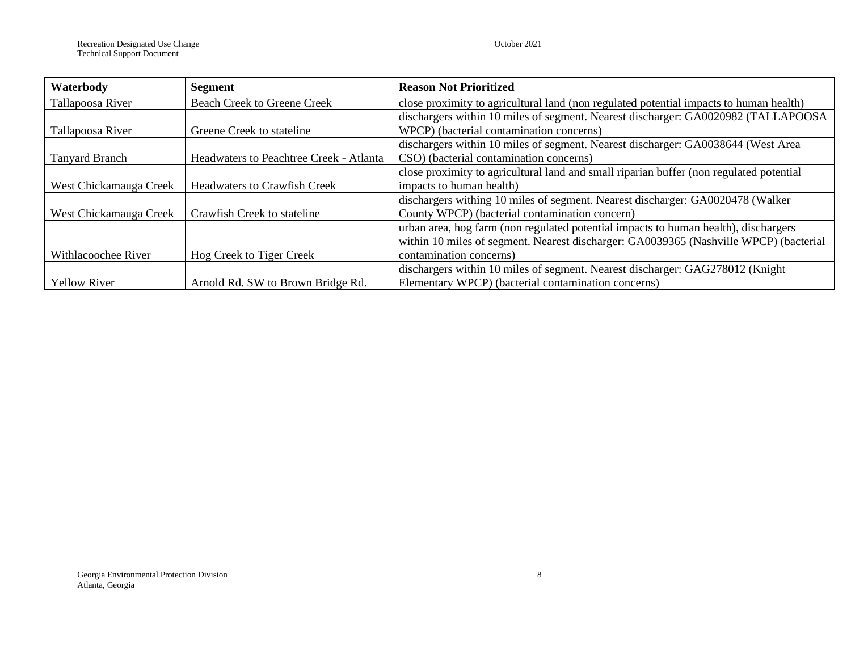| Waterbody              | Segment                                 | <b>Reason Not Prioritized</b>                                                           |
|------------------------|-----------------------------------------|-----------------------------------------------------------------------------------------|
| Tallapoosa River       | <b>Beach Creek to Greene Creek</b>      | close proximity to agricultural land (non regulated potential impacts to human health)  |
|                        |                                         | dischargers within 10 miles of segment. Nearest discharger: GA0020982 (TALLAPOOSA       |
| Tallapoosa River       | Greene Creek to stateline               | WPCP) (bacterial contamination concerns)                                                |
|                        |                                         | dischargers within 10 miles of segment. Nearest discharger: GA0038644 (West Area        |
| <b>Tanyard Branch</b>  | Headwaters to Peachtree Creek - Atlanta | CSO) (bacterial contamination concerns)                                                 |
|                        |                                         | close proximity to agricultural land and small riparian buffer (non regulated potential |
| West Chickamauga Creek | <b>Headwaters to Crawfish Creek</b>     | impacts to human health)                                                                |
|                        |                                         | dischargers withing 10 miles of segment. Nearest discharger: GA0020478 (Walker          |
| West Chickamauga Creek | Crawfish Creek to stateline             | County WPCP) (bacterial contamination concern)                                          |
|                        |                                         | urban area, hog farm (non regulated potential impacts to human health), dischargers     |
|                        |                                         | within 10 miles of segment. Nearest discharger: GA0039365 (Nashville WPCP) (bacterial   |
| Withlacoochee River    | Hog Creek to Tiger Creek                | contamination concerns)                                                                 |
|                        |                                         | dischargers within 10 miles of segment. Nearest discharger: GAG278012 (Knight           |
| <b>Yellow River</b>    | Arnold Rd. SW to Brown Bridge Rd.       | Elementary WPCP) (bacterial contamination concerns)                                     |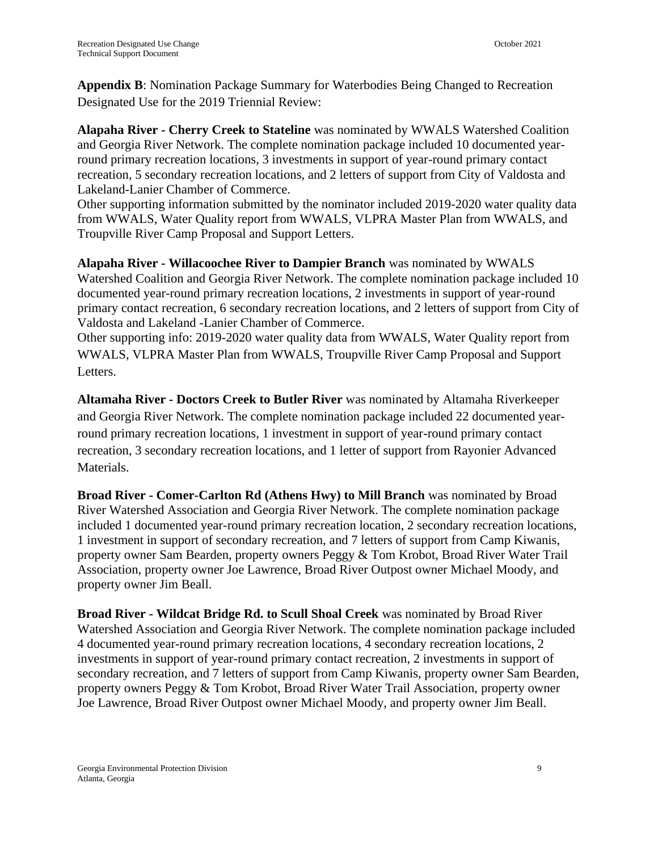**Appendix B**: Nomination Package Summary for Waterbodies Being Changed to Recreation Designated Use for the 2019 Triennial Review:

**Alapaha River - Cherry Creek to Stateline** was nominated by WWALS Watershed Coalition and Georgia River Network. The complete nomination package included 10 documented yearround primary recreation locations, 3 investments in support of year-round primary contact recreation, 5 secondary recreation locations, and 2 letters of support from City of Valdosta and Lakeland-Lanier Chamber of Commerce.

Other supporting information submitted by the nominator included 2019-2020 water quality data from WWALS, Water Quality report from WWALS, VLPRA Master Plan from WWALS, and Troupville River Camp Proposal and Support Letters.

**Alapaha River - Willacoochee River to Dampier Branch** was nominated by WWALS Watershed Coalition and Georgia River Network. The complete nomination package included 10 documented year-round primary recreation locations, 2 investments in support of year-round primary contact recreation, 6 secondary recreation locations, and 2 letters of support from City of Valdosta and Lakeland -Lanier Chamber of Commerce.

Other supporting info: 2019-2020 water quality data from WWALS, Water Quality report from WWALS, VLPRA Master Plan from WWALS, Troupville River Camp Proposal and Support Letters.

**Altamaha River - Doctors Creek to Butler River** was nominated by Altamaha Riverkeeper and Georgia River Network. The complete nomination package included 22 documented yearround primary recreation locations, 1 investment in support of year-round primary contact recreation, 3 secondary recreation locations, and 1 letter of support from Rayonier Advanced Materials.

**Broad River - Comer-Carlton Rd (Athens Hwy) to Mill Branch** was nominated by Broad River Watershed Association and Georgia River Network. The complete nomination package included 1 documented year-round primary recreation location, 2 secondary recreation locations, 1 investment in support of secondary recreation, and 7 letters of support from Camp Kiwanis, property owner Sam Bearden, property owners Peggy & Tom Krobot, Broad River Water Trail Association, property owner Joe Lawrence, Broad River Outpost owner Michael Moody, and property owner Jim Beall.

**Broad River - Wildcat Bridge Rd. to Scull Shoal Creek** was nominated by Broad River Watershed Association and Georgia River Network. The complete nomination package included 4 documented year-round primary recreation locations, 4 secondary recreation locations, 2 investments in support of year-round primary contact recreation, 2 investments in support of secondary recreation, and 7 letters of support from Camp Kiwanis, property owner Sam Bearden, property owners Peggy & Tom Krobot, Broad River Water Trail Association, property owner Joe Lawrence, Broad River Outpost owner Michael Moody, and property owner Jim Beall.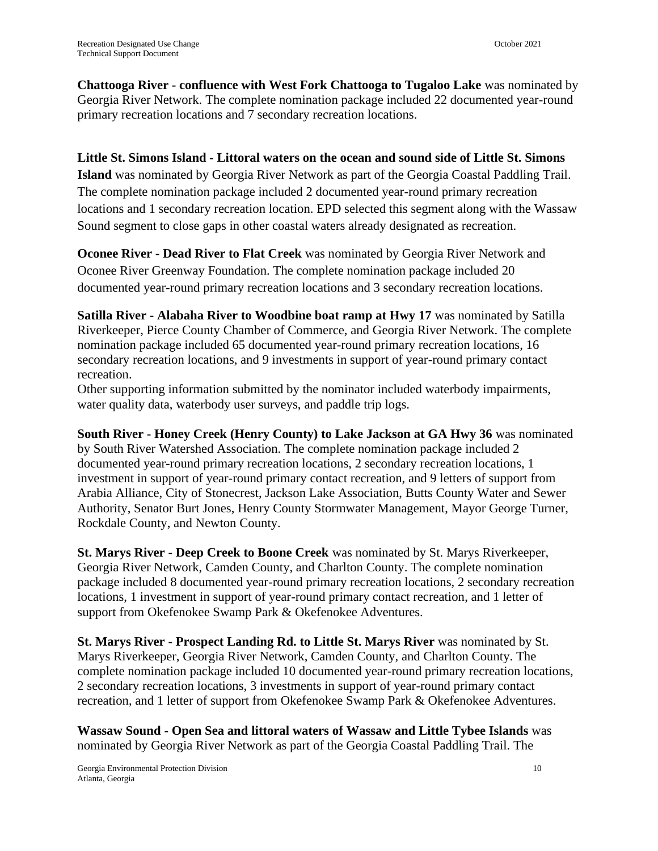**Chattooga River - confluence with West Fork Chattooga to Tugaloo Lake** was nominated by Georgia River Network. The complete nomination package included 22 documented year-round primary recreation locations and 7 secondary recreation locations.

#### **Little St. Simons Island - Littoral waters on the ocean and sound side of Little St. Simons**

**Island** was nominated by Georgia River Network as part of the Georgia Coastal Paddling Trail. The complete nomination package included 2 documented year-round primary recreation locations and 1 secondary recreation location. EPD selected this segment along with the Wassaw Sound segment to close gaps in other coastal waters already designated as recreation.

**Oconee River - Dead River to Flat Creek** was nominated by Georgia River Network and Oconee River Greenway Foundation. The complete nomination package included 20 documented year-round primary recreation locations and 3 secondary recreation locations.

**Satilla River - Alabaha River to Woodbine boat ramp at Hwy 17** was nominated by Satilla Riverkeeper, Pierce County Chamber of Commerce, and Georgia River Network. The complete nomination package included 65 documented year-round primary recreation locations, 16 secondary recreation locations, and 9 investments in support of year-round primary contact recreation.

Other supporting information submitted by the nominator included waterbody impairments, water quality data, waterbody user surveys, and paddle trip logs.

**South River - Honey Creek (Henry County) to Lake Jackson at GA Hwy 36** was nominated by South River Watershed Association. The complete nomination package included 2 documented year-round primary recreation locations, 2 secondary recreation locations, 1 investment in support of year-round primary contact recreation, and 9 letters of support from Arabia Alliance, City of Stonecrest, Jackson Lake Association, Butts County Water and Sewer Authority, Senator Burt Jones, Henry County Stormwater Management, Mayor George Turner, Rockdale County, and Newton County.

**St. Marys River - Deep Creek to Boone Creek** was nominated by St. Marys Riverkeeper, Georgia River Network, Camden County, and Charlton County. The complete nomination package included 8 documented year-round primary recreation locations, 2 secondary recreation locations, 1 investment in support of year-round primary contact recreation, and 1 letter of support from Okefenokee Swamp Park & Okefenokee Adventures.

**St. Marys River - Prospect Landing Rd. to Little St. Marys River** was nominated by St. Marys Riverkeeper, Georgia River Network, Camden County, and Charlton County. The complete nomination package included 10 documented year-round primary recreation locations, 2 secondary recreation locations, 3 investments in support of year-round primary contact recreation, and 1 letter of support from Okefenokee Swamp Park & Okefenokee Adventures.

**Wassaw Sound - Open Sea and littoral waters of Wassaw and Little Tybee Islands** was nominated by Georgia River Network as part of the Georgia Coastal Paddling Trail. The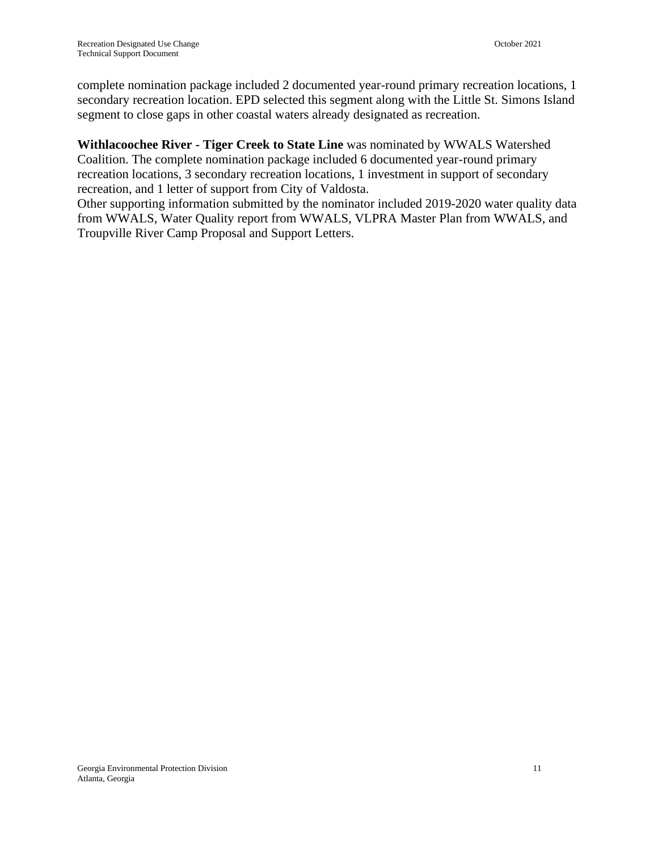complete nomination package included 2 documented year-round primary recreation locations, 1 secondary recreation location. EPD selected this segment along with the Little St. Simons Island segment to close gaps in other coastal waters already designated as recreation.

**Withlacoochee River - Tiger Creek to State Line** was nominated by WWALS Watershed Coalition. The complete nomination package included 6 documented year-round primary recreation locations, 3 secondary recreation locations, 1 investment in support of secondary recreation, and 1 letter of support from City of Valdosta.

Other supporting information submitted by the nominator included 2019-2020 water quality data from WWALS, Water Quality report from WWALS, VLPRA Master Plan from WWALS, and Troupville River Camp Proposal and Support Letters.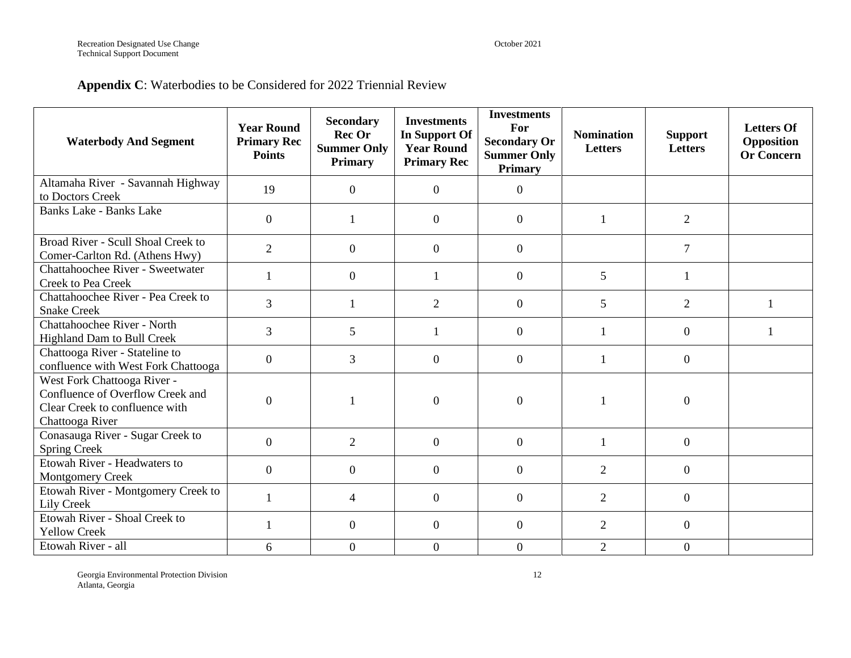### **Appendix C**: Waterbodies to be Considered for 2022 Triennial Review

| <b>Waterbody And Segment</b>                                                                                         | <b>Year Round</b><br><b>Primary Rec</b><br><b>Points</b> | <b>Secondary</b><br><b>Rec Or</b><br><b>Summer Only</b><br><b>Primary</b> | <b>Investments</b><br>In Support Of<br><b>Year Round</b><br><b>Primary Rec</b> | <b>Investments</b><br>For<br><b>Secondary Or</b><br><b>Summer Only</b><br><b>Primary</b> | <b>Nomination</b><br><b>Letters</b> | <b>Support</b><br><b>Letters</b> | <b>Letters Of</b><br>Opposition<br><b>Or Concern</b> |
|----------------------------------------------------------------------------------------------------------------------|----------------------------------------------------------|---------------------------------------------------------------------------|--------------------------------------------------------------------------------|------------------------------------------------------------------------------------------|-------------------------------------|----------------------------------|------------------------------------------------------|
| Altamaha River - Savannah Highway<br>to Doctors Creek                                                                | 19                                                       | $\boldsymbol{0}$                                                          | $\overline{0}$                                                                 | $\overline{0}$                                                                           |                                     |                                  |                                                      |
| <b>Banks Lake - Banks Lake</b>                                                                                       | $\overline{0}$                                           | $\mathbf{1}$                                                              | $\overline{0}$                                                                 | $\overline{0}$                                                                           | $\overline{1}$                      | 2                                |                                                      |
| Broad River - Scull Shoal Creek to<br>Comer-Carlton Rd. (Athens Hwy)                                                 | $\overline{2}$                                           | $\boldsymbol{0}$                                                          | $\overline{0}$                                                                 | $\overline{0}$                                                                           |                                     | $\overline{7}$                   |                                                      |
| Chattahoochee River - Sweetwater<br>Creek to Pea Creek                                                               | $\mathbf{1}$                                             | $\boldsymbol{0}$                                                          | $\mathbf{1}$                                                                   | $\overline{0}$                                                                           | 5                                   | $\mathbf{1}$                     |                                                      |
| Chattahoochee River - Pea Creek to<br><b>Snake Creek</b>                                                             | $\overline{3}$                                           | $\mathbf{1}$                                                              | $\overline{2}$                                                                 | $\overline{0}$                                                                           | 5                                   | $\overline{2}$                   |                                                      |
| Chattahoochee River - North<br><b>Highland Dam to Bull Creek</b>                                                     | 3                                                        | 5                                                                         |                                                                                | $\mathbf{0}$                                                                             |                                     | $\overline{0}$                   |                                                      |
| Chattooga River - Stateline to<br>confluence with West Fork Chattooga                                                | $\boldsymbol{0}$                                         | 3                                                                         | $\overline{0}$                                                                 | $\overline{0}$                                                                           | $\mathbf{1}$                        | $\overline{0}$                   |                                                      |
| West Fork Chattooga River -<br>Confluence of Overflow Creek and<br>Clear Creek to confluence with<br>Chattooga River | $\boldsymbol{0}$                                         |                                                                           | $\overline{0}$                                                                 | $\overline{0}$                                                                           |                                     | $\overline{0}$                   |                                                      |
| Conasauga River - Sugar Creek to<br><b>Spring Creek</b>                                                              | $\boldsymbol{0}$                                         | $\overline{2}$                                                            | $\overline{0}$                                                                 | $\overline{0}$                                                                           | $\mathbf{1}$                        | $\overline{0}$                   |                                                      |
| Etowah River - Headwaters to<br><b>Montgomery Creek</b>                                                              | $\overline{0}$                                           | $\boldsymbol{0}$                                                          | $\overline{0}$                                                                 | $\overline{0}$                                                                           | 2                                   | $\overline{0}$                   |                                                      |
| Etowah River - Montgomery Creek to<br>Lily Creek                                                                     | $\mathbf{1}$                                             | $\overline{4}$                                                            | $\overline{0}$                                                                 | $\mathbf{0}$                                                                             | $\overline{2}$                      | $\overline{0}$                   |                                                      |
| Etowah River - Shoal Creek to<br><b>Yellow Creek</b>                                                                 | $\overline{\mathbf{1}}$                                  | $\overline{0}$                                                            | $\Omega$                                                                       | $\Omega$                                                                                 | 2                                   | $\Omega$                         |                                                      |
| Etowah River - all                                                                                                   | 6                                                        | $\overline{0}$                                                            | $\overline{0}$                                                                 | $\overline{0}$                                                                           | $\overline{2}$                      | $\theta$                         |                                                      |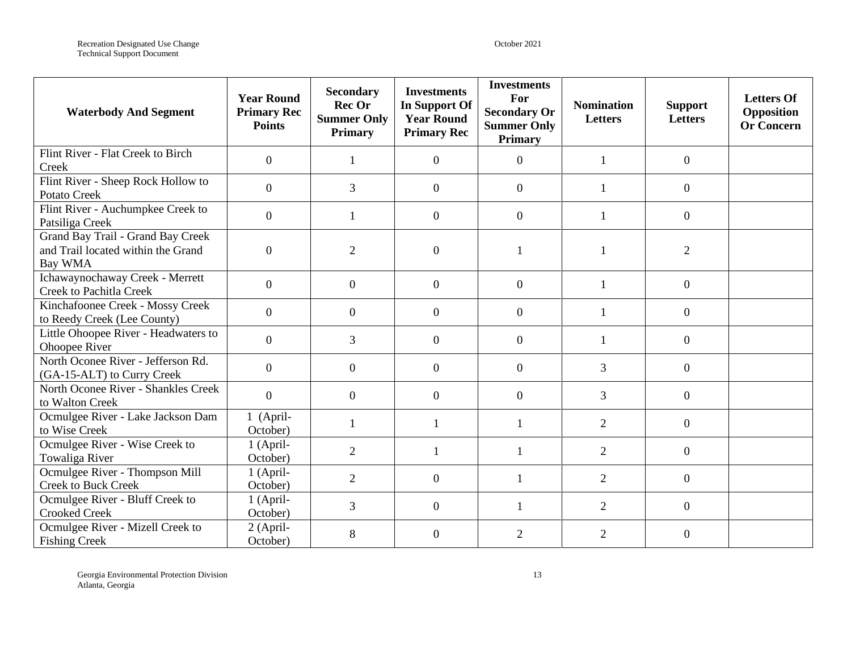Recreation Designated Use Change **October 2021 CHANGE 2021** Technical Support Document

| <b>Waterbody And Segment</b>                                                       | <b>Year Round</b><br><b>Primary Rec</b><br><b>Points</b> | <b>Secondary</b><br>Rec Or<br><b>Summer Only</b><br><b>Primary</b> | <b>Investments</b><br><b>In Support Of</b><br><b>Year Round</b><br><b>Primary Rec</b> | <b>Investments</b><br>For<br><b>Secondary Or</b><br><b>Summer Only</b><br><b>Primary</b> | <b>Nomination</b><br>Letters | <b>Support</b><br>Letters | <b>Letters Of</b><br>Opposition<br><b>Or Concern</b> |
|------------------------------------------------------------------------------------|----------------------------------------------------------|--------------------------------------------------------------------|---------------------------------------------------------------------------------------|------------------------------------------------------------------------------------------|------------------------------|---------------------------|------------------------------------------------------|
| Flint River - Flat Creek to Birch<br>Creek                                         | $\overline{0}$                                           | 1                                                                  | $\overline{0}$                                                                        | $\overline{0}$                                                                           | $\mathbf{1}$                 | $\boldsymbol{0}$          |                                                      |
| Flint River - Sheep Rock Hollow to<br><b>Potato Creek</b>                          | $\mathbf{0}$                                             | 3                                                                  | $\overline{0}$                                                                        | $\overline{0}$                                                                           | -1                           | $\overline{0}$            |                                                      |
| Flint River - Auchumpkee Creek to<br>Patsiliga Creek                               | $\mathbf{0}$                                             | $\mathbf{1}$                                                       | $\boldsymbol{0}$                                                                      | $\boldsymbol{0}$                                                                         | $\mathbf{1}$                 | $\boldsymbol{0}$          |                                                      |
| Grand Bay Trail - Grand Bay Creek<br>and Trail located within the Grand<br>Bay WMA | $\mathbf{0}$                                             | $\overline{2}$                                                     | $\overline{0}$                                                                        |                                                                                          |                              | $\overline{2}$            |                                                      |
| Ichawaynochaway Creek - Merrett<br><b>Creek to Pachitla Creek</b>                  | $\overline{0}$                                           | $\overline{0}$                                                     | $\overline{0}$                                                                        | $\overline{0}$                                                                           |                              | $\boldsymbol{0}$          |                                                      |
| Kinchafoonee Creek - Mossy Creek<br>to Reedy Creek (Lee County)                    | $\mathbf{0}$                                             | $\mathbf{0}$                                                       | $\boldsymbol{0}$                                                                      | $\boldsymbol{0}$                                                                         |                              | $\boldsymbol{0}$          |                                                      |
| Little Ohoopee River - Headwaters to<br>Ohoopee River                              | $\boldsymbol{0}$                                         | 3                                                                  | $\boldsymbol{0}$                                                                      | $\boldsymbol{0}$                                                                         | $\mathbf{1}$                 | $\boldsymbol{0}$          |                                                      |
| North Oconee River - Jefferson Rd.<br>(GA-15-ALT) to Curry Creek                   | $\mathbf{0}$                                             | $\overline{0}$                                                     | $\boldsymbol{0}$                                                                      | $\boldsymbol{0}$                                                                         | 3                            | $\boldsymbol{0}$          |                                                      |
| North Oconee River - Shankles Creek<br>to Walton Creek                             | $\overline{0}$                                           | $\overline{0}$                                                     | $\theta$                                                                              | $\overline{0}$                                                                           | 3                            | $\overline{0}$            |                                                      |
| Ocmulgee River - Lake Jackson Dam<br>to Wise Creek                                 | 1 (April-<br>October)                                    | 1                                                                  | 1                                                                                     | $\mathbf{1}$                                                                             | $\overline{2}$               | $\overline{0}$            |                                                      |
| Ocmulgee River - Wise Creek to<br>Towaliga River                                   | 1 (April-<br>October)                                    | $\overline{2}$                                                     | $\mathbf{1}$                                                                          | $\mathbf{1}$                                                                             | $\overline{2}$               | $\boldsymbol{0}$          |                                                      |
| Ocmulgee River - Thompson Mill<br><b>Creek to Buck Creek</b>                       | 1 (April-<br>October)                                    | $\overline{2}$                                                     | $\overline{0}$                                                                        | $\mathbf{1}$                                                                             | $\overline{2}$               | $\boldsymbol{0}$          |                                                      |
| Ocmulgee River - Bluff Creek to<br><b>Crooked Creek</b>                            | 1 (April-<br>October)                                    | 3                                                                  | $\boldsymbol{0}$                                                                      | $\mathbf{1}$                                                                             | $\overline{2}$               | $\overline{0}$            |                                                      |
| Ocmulgee River - Mizell Creek to<br><b>Fishing Creek</b>                           | 2 (April-<br>October)                                    | 8                                                                  | $\theta$                                                                              | $\overline{2}$                                                                           | $\overline{2}$               | $\theta$                  |                                                      |